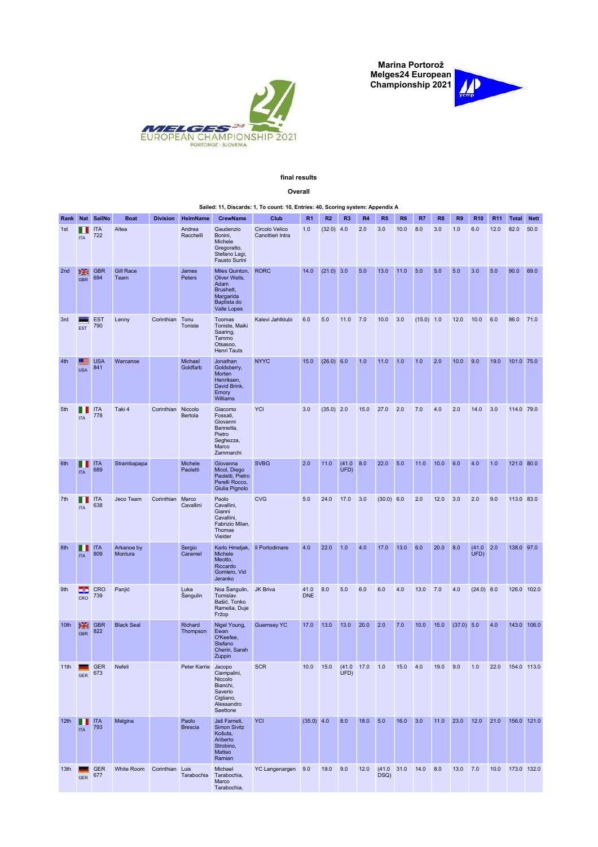Marina Portorož Melges24 European Championship 2021





GER

## final results

## Overall Sailed: 11, Discards: 1, To count: 10, Entries: 40, Scoring system: Appendix A Rank Nat SailNo Boat Division HelmName CrewName Club R1 R2 R3 R4 R5 R6 R7 R8 R9 R10 R11 Total Nett 1st ITA **ITA** 722 Altea Andrea **Racchell** Gaudenzio Bonini, Michele Gregoratto, Stefano Lagi, Fausto Surini Circolo Velico Canottieri Intra 1.0 (32.0) 4.0 2.0 3.0 10.0 8.0 3.0 1.0 6.0 12.0 82.0 50.0 2nd GBR **SHE** GBR 694 Gill Race Team James Peters Miles Quinton, Oliver Wells, Adam Brushett, Margarida Baptista do Valle Lopes RORC 14.0 (21.0) 3.0 5.0 13.0 11.0 5.0 5.0 5.0 3.0 5.0 90.0 69.0 3rd **EST** EST 790 Lenny Corinthian Tonu Toniste Toomas Toniste, Maiki Saaring, Tammo Otsasoo, Henri Tauts Kalevi Jahtklubi 6.0 5.0 11.0 7.0 10.0 3.0 (15.0) 1.0 12.0 10.0 6.0 86.0 71.0 4th USA USA 841 Warcanoe Michael Goldfarb Jonathan Goldsberry, Morten Henriksen, David Brink, Emory Williams NYYC 15.0 (26.0) 6.0 1.0 11.0 1.0 1.0 2.0 10.0 9.0 19.0 101.0 75.0 5th ITA **ITA** 778 Taki 4 Corinthian Niccolo Bertola Giacomo Fossati, Giovanni Bannetta, Pietro Seghezza, Marco Zammarchi YCI 3.0 (35.0) 2.0 15.0 27.0 2.0 7.0 4.0 2.0 14.0 3.0 114.0 79.0 6th ITA **ITA** ITA 689 Strambapapa Michele Paoletti Giovanna Micol, Diego Paoletti, Pietro Perelli Rocco, Giulia Pignolo SVBG 2.0 11.0 (41.0 8.0 UFD) 8.0 22.0 5.0 11.0 10.0 6.0 4.0 1.0 121.0 80.0 7th **III** ITA ITA 638 Jeco Team Corinthian Marco Cavallini Paolo<br>Cavallini, Gianni Cavallini, Fabrizio Milan, Thomas Vieider CVG 5.0 24.0 17.0 3.0 (30.0) 6.0 2.0 12.0 3.0 2.0 9.0 113.0 83.0 8th ITA **ITA** ITA 809 Arkanoe by Montura Sergio Caramel Karlo Hmeljak, II Portodimare Michele Meotto, Riccardo Gomiero, Vid Jeranko 1.0 22.0 1.0 4.0 17.0 13.0 6.0 20.0 8.0  $(41.0 2.0$ <br>UFD) 2.0 138.0 97.0 9th CRO CRO 739 Panjić Luka Šangulin Noa Šangulin, JK Briva (41.0) Tomislav Bašić, Tonko Rameša, Duje Fržop 41.0 8.0 8.0 5.0 6.0 6.0 4.0 13.0 7.0 4.0 (24.0) 8.0 126.0 102.0 10th GBR GBR 822 **Black Seal Richard** Thompson Nigel Young, Ewan O'Keefee, Stefano Cherin, Sarah **Zuppin** Guernsey YC 17.0 13.0 13.0 20.0 2.0 7.0 10.0 15.0 (37.0) 5.0 4.0 143.0 106.0 11th GER GER 673 Nefeli Peter Karrie Jacopo Ciampalini, Niccolo Bianchi, Saverio Cigliano, Alessandro **Saettone** SCR 10.0 15.0  $(41.0$  17.0 17.0 1.0 15.0 4.0 19.0 9.0 1.0 22.0 154.0 113.0 12th  $\begin{array}{|c|c|c|}\n\hline\n\text{ITA} & \text{793}\n\end{array}$ ITA Melgina **Paolo Brescia** Jaš Farneti, Simon Sivitz Košuta, Ariberto Strobino, Matteo Ramian YCI (35.0) 4.0 8.0 18.0 5.0 16.0 3.0 11.0 23.0 12.0 21.0 156.0 121.0 13th GER 677 White Room Corinthian Luis Tarabochia Michael YC Langenargen 9.0 19.0 9.0 12.0 DSQ) 31.0 14.0 8.0 13.0 7.0 10.0 173.0 132.0

Tarabochia, Marco Tarabochia,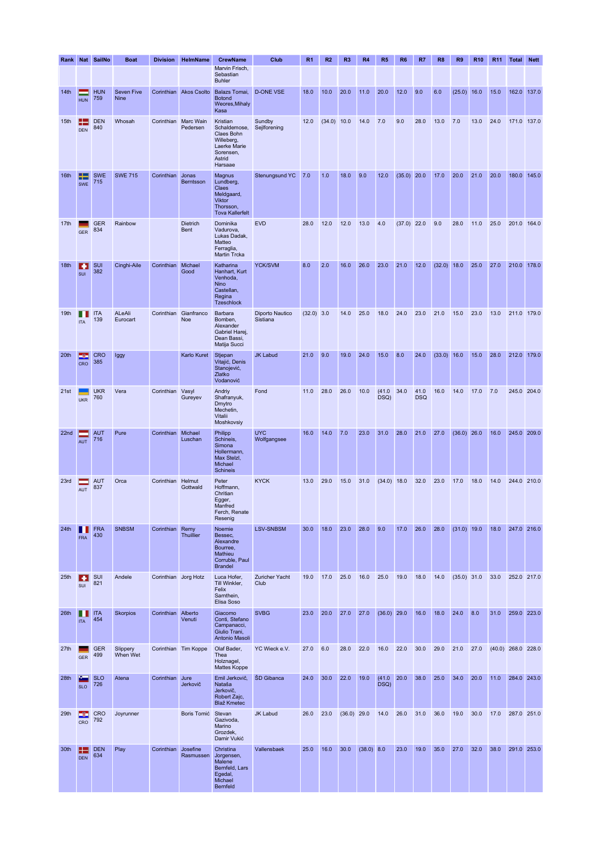|      |                   | Rank Nat SailNo   | <b>Boat</b>                      | <b>Division</b>      | <b>HelmName</b>                     | <b>CrewName</b>                                                                                        | Club                        | R <sub>1</sub> | R2     | R <sub>3</sub> | R <sub>4</sub> | R <sub>5</sub> | R <sub>6</sub> | R7                 | R <sub>8</sub> | R <sub>9</sub> | <b>R10</b> | R <sub>11</sub> | Total                | <b>Nett</b> |
|------|-------------------|-------------------|----------------------------------|----------------------|-------------------------------------|--------------------------------------------------------------------------------------------------------|-----------------------------|----------------|--------|----------------|----------------|----------------|----------------|--------------------|----------------|----------------|------------|-----------------|----------------------|-------------|
|      |                   |                   |                                  |                      |                                     | Marvin Frisch,<br>Sebastian<br><b>Buhler</b>                                                           |                             |                |        |                |                |                |                |                    |                |                |            |                 |                      |             |
| 14th | <b>HUN</b>        | <b>HUN</b><br>759 | <b>Seven Five</b><br><b>Nine</b> |                      | Corinthian Akos Csolto              | Balazs Tomai,<br><b>Botond</b><br>Weores, Mihaly<br>Kasa                                               | <b>D-ONE VSE</b>            | 18.0           | 10.0   | 20.0           | 11.0           | 20.0           | 12.0           | 9.0                | 6.0            | $(25.0)$ 16.0  |            | 15.0            | 162.0                | 137.0       |
| 15th | н<br><b>DEN</b>   | <b>DEN</b><br>840 | Whosah                           |                      | Corinthian Marc Wain<br>Pedersen    | Kristian<br>Schaldemose,<br>Claes Bohn<br>Willeberg,<br>Laerke Marie<br>Sorensen,<br>Astrid<br>Harsaae | Sundby<br>Sejlforening      | 12.0           | (34.0) | 10.0           | 14.0           | 7.0            | 9.0            | 28.0               | 13.0           | 7.0            | 13.0       | 24.0            | 171.0 137.0          |             |
| 16th | æ<br><b>SWE</b>   | <b>SWE</b><br>715 | <b>SWE 715</b>                   | Corinthian           | Jonas<br>Berntsson                  | Magnus<br>Lundberg,<br>Claes<br>Meldgaard,<br>Viktor<br>Thorsson,<br><b>Tova Kallerfelt</b>            | Stenungsund YC              | 7.0            | 1.0    | 18.0           | 9.0            | 12.0           | $(35.0)$ 20.0  |                    | 17.0           | 20.0           | 21.0       | 20.0            |                      | 180.0 145.0 |
| 17th | <b>GER</b>        | <b>GER</b><br>834 | Rainbow                          |                      | <b>Dietrich</b><br><b>Bent</b>      | Dominika<br>Vadurova,<br>Lukas Dadak,<br>Matteo<br>Ferraglia,<br>Martin Trcka                          | <b>EVD</b>                  | 28.0           | 12.0   | 12.0           | 13.0           | 4.0            | $(37.0)$ 22.0  |                    | 9.0            | 28.0           | 11.0       | 25.0            | 201.0 164.0          |             |
| 18th | ı÷.<br>SUI        | SUI<br>382        | Cinghi-Aile                      | Corinthian Michael   | Good                                | Katharina<br>Hanhart, Kurt<br>Venhoda,<br>Nino<br>Castellan,<br>Regina<br><b>Tzeschlock</b>            | YCK/SVM                     | 8.0            | 2.0    | 16.0           | 26.0           | 23.0           | 21.0           | 12.0               | (32.0)         | 18.0           | 25.0       | 27.0            | 210.0                | 178.0       |
| 19th | <b>ITA</b>        | <b>ITA</b><br>139 | ALeAli<br>Eurocart               |                      | Corinthian Gianfranco<br><b>Noe</b> | Barbara<br>Bomben,<br>Alexander<br>Gabriel Harej,<br>Dean Bassi,<br>Matija Succi                       | Diporto Nautico<br>Sistiana | $(32.0)$ 3.0   |        | 14.0           | 25.0           | 18.0           | 24.0           | 23.0               | 21.0           | 15.0           | 23.0       | 13.0            | 211.0 179.0          |             |
| 20th | F۳<br>CRO         | <b>CRO</b><br>385 | Iggy                             |                      | Karlo Kuret                         | Stjepan<br>Vitajić, Denis<br>Stanojević,<br>Zlatko<br>Vodanović                                        | <b>JK Labud</b>             | 21.0           | 9.0    | 19.0           | 24.0           | 15.0           | 8.0            | 24.0               | (33.0)         | 16.0           | 15.0       | 28.0            | 212.0                | 179.0       |
| 21st | <b>UKR</b>        | <b>UKR</b><br>760 | Vera                             | Corinthian Vasyl     | Gureyev                             | Andriy<br>Shafranyuk,<br>Dmytro<br>Mechetin,<br>Vitalii<br>Moshkovsiy                                  | Fond                        | 11.0           | 28.0   | 26.0           | 10.0           | (41.0)<br>DSQ) | 34.0           | 41.0<br><b>DSQ</b> | 16.0           | 14.0           | 17.0       | 7.0             | 245.0 204.0          |             |
| 22nd | <b>AUT</b>        | <b>AUT</b><br>716 | Pure                             | Corinthian           | Michael<br>Luschan                  | Philipp<br>Schineis,<br>Simona<br>Hollermann,<br>Max Stelzl,<br>Michael<br><b>Schineis</b>             | <b>UYC</b><br>Wolfgangsee   | 16.0           | 14.0   | 7.0            | 23.0           | 31.0           | 28.0           | 21.0               | 27.0           | $(36.0)$ 26.0  |            | 16.0            | 245.0 209.0          |             |
| 23rd | AUT               | <b>AUT</b><br>837 | Orca                             | Corinthian Helmut    | Gottwald                            | Peter<br>Hoffmann,<br>Chritian<br>Egger,<br>Manfred<br>Ferch, Renate<br>Resenig                        | <b>KYCK</b>                 | 13.0           | 29.0   | 15.0           | 31.0           | $(34.0)$ 18.0  |                | 32.0               | 23.0           | 17.0           | 18.0       | 14.0            | 244.0 210.0          |             |
| 24th | . .<br><b>FRA</b> | <b>FRA</b><br>430 | <b>SNBSM</b>                     | Corinthian           | Remy<br>Thuillier                   | Noemie<br>Bessec,<br>Alexandre<br>Bourree,<br>Mathieu<br>Corruble, Paul<br><b>Brandel</b>              | <b>LSV-SNBSM</b>            | 30.0           | 18.0   | 23.0           | 28.0           | 9.0            | 17.0           | 26.0               | 28.0           | $(31.0)$ 19.0  |            | 18.0            | 247.0 216.0          |             |
| 25th | н<br>SUI          | <b>SUI</b><br>821 | Andele                           | Corinthian Jorg Hotz |                                     | Luca Hofer,<br>Till Winkler,<br>Felix<br>Samthein,<br>Elisa Soso                                       | Zuricher Yacht<br>Club      | 19.0           | 17.0   | 25.0           | 16.0           | 25.0           | 19.0           | 18.0               | 14.0           | $(35.0)$ 31.0  |            | 33.0            | 252.0 217.0          |             |
| 26th | ш<br><b>ITA</b>   | <b>ITA</b><br>454 | <b>Skorpios</b>                  | Corinthian           | Alberto<br>Venuti                   | Giacomo<br>Conti, Stefano<br>Campanacci,<br>Giulio Trani,<br>Antonio Masoli                            | <b>SVBG</b>                 | 23.0           | 20.0   | 27.0           | 27.0           | $(36.0)$ 29.0  |                | 16.0               | 18.0           | 24.0           | 8.0        | 31.0            | 259.0 223.0          |             |
| 27th | GER               | <b>GER</b><br>499 | Slippery<br>When Wet             |                      | Corinthian Tim Koppe                | Olaf Bader,<br>Thea<br>Holznagel,<br><b>Mattes Koppe</b>                                               | YC Wieck e.V.               | 27.0           | 6.0    | 28.0           | 22.0           | 16.0           | 22.0           | 30.0               | 29.0           | 21.0           | 27.0       |                 | $(40.0)$ 268.0 228.0 |             |
| 28th | <b>SLO</b>        | <b>SLO</b><br>726 | Atena                            | Corinthian           | Jure<br>Jerkovič                    | Emil Jerkovič,<br>Nataša<br>Jerkovič,<br>Robert Zajc,<br><b>Blaž Kmetec</b>                            | ŠD Gibanca                  | 24.0           | 30.0   | 22.0           | 19.0           | (41.0)<br>DSQ) | 20.0           | 38.0               | 25.0           | 34.0           | 20.0       | 11.0            | 284.0 243.0          |             |
| 29th | œ<br>CRO          | <b>CRO</b><br>792 | Joyrunner                        |                      | Boris Tomić                         | Stevan<br>Gazivoda,<br>Marino<br>Grozdek,<br>Damir Vukić                                               | JK Labud                    | 26.0           | 23.0   | $(36.0)$ 29.0  |                | 14.0           | 26.0           | 31.0               | 36.0           | 19.0           | 30.0       | 17.0            | 287.0 251.0          |             |
| 30th | Æ<br><b>DEN</b>   | <b>DEN</b><br>634 | Play                             | Corinthian           | Josefine<br>Rasmussen               | Christina<br>Jorgensen,<br>Malene<br>Bernfeld, Lars<br>Egedal,<br>Michael<br>Bernfeld                  | Vallensbaek                 | 25.0           | 16.0   | 30.0           | $(38.0)$ 8.0   |                | 23.0           | 19.0               | 35.0           | 27.0           | 32.0       | 38.0            |                      | 291.0 253.0 |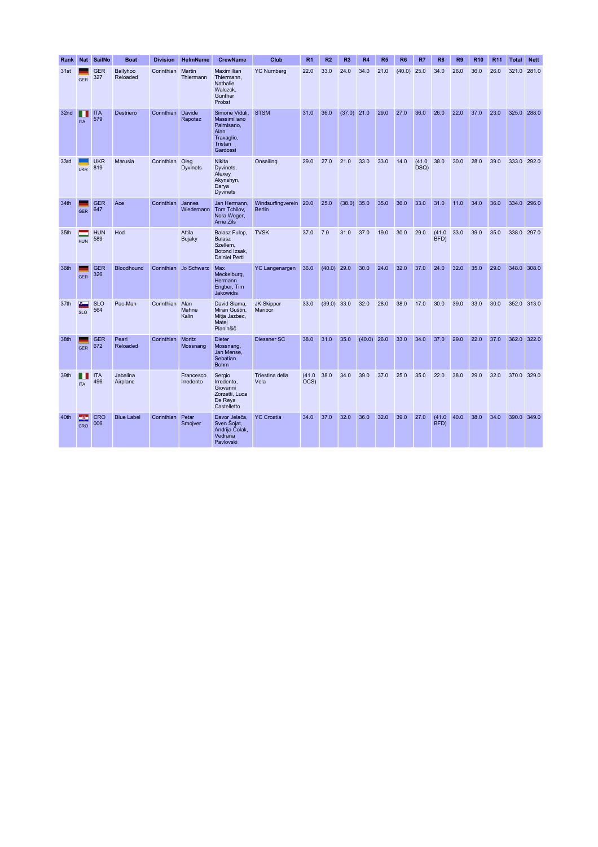| Rank | Nat              | SailNo            | <b>Boat</b>          | <b>Division</b>  | <b>HelmName</b>         | <b>CrewName</b>                                                                           | Club                                    | R <sub>1</sub> | R <sub>2</sub> | R <sub>3</sub> | R <sub>4</sub> | R <sub>5</sub> | R <sub>6</sub> | R7             | R <sub>8</sub> | R <sub>9</sub> | <b>R10</b> | R <sub>11</sub> | <b>Total</b> | <b>Nett</b> |
|------|------------------|-------------------|----------------------|------------------|-------------------------|-------------------------------------------------------------------------------------------|-----------------------------------------|----------------|----------------|----------------|----------------|----------------|----------------|----------------|----------------|----------------|------------|-----------------|--------------|-------------|
| 31st | <b>GER</b>       | <b>GER</b><br>327 | Ballyhoo<br>Reloaded | Corinthian       | Martin<br>Thiermann     | Maximillian<br>Thiermann.<br>Nathalie<br>Walczok.<br>Gunther<br>Probst                    | <b>YC Numberg</b>                       | 22.0           | 33.0           | 24.0           | 34.0           | 21.0           | $(40.0)$ 25.0  |                | 34.0           | 26.0           | 36.0       | 26.0            | 321.0        | 281.0       |
| 32nd | <b>ITA</b>       | <b>ITA</b><br>579 | Destriero            | Corinthian       | Davide<br>Rapotez       | Simone Viduli,<br>Massimiliano<br>Palmisano,<br>Alan<br>Travaglio,<br>Tristan<br>Gardossi | <b>STSM</b>                             | 31.0           | 36.0           | $(37.0)$ 21.0  |                | 29.0           | 27.0           | 36.0           | 26.0           | 22.0           | 37.0       | 23.0            | 325.0        | 288.0       |
| 33rd | <b>UKR</b>       | <b>UKR</b><br>819 | Marusia              | Corinthian Oleg  | <b>Dyvinets</b>         | <b>Nikita</b><br>Dyvinets,<br>Alexey<br>Akynshyn,<br>Darya<br><b>Dyvinets</b>             | Onsailing                               | 29.0           | 27.0           | 21.0           | 33.0           | 33.0           | 14.0           | (41.0)<br>DSQ) | 38.0           | 30.0           | 28.0       | 39.0            | 333.0 292.0  |             |
| 34th | <b>GER</b>       | <b>GER</b><br>647 | Ace                  | Corinthian       | Jannes<br>Wiedemann     | Jan Hermann,<br>Tom Tchilov,<br>Nora Weger,<br>Arne Zils                                  | Windsurfingverein 20.0<br><b>Berlin</b> |                | 25.0           | (38.0)         | 35.0           | 35.0           | 36.0           | 33.0           | 31.0           | 11.0           | 34.0       | 36.0            | 334.0        | 296.0       |
| 35th | <b>HUN</b>       | <b>HUN</b><br>589 | Hod                  |                  | Attila<br><b>Bujaky</b> | Balasz Fulop,<br>Balasz<br>Szellem,<br>Botond Izsak,<br><b>Dainiel Pertl</b>              | <b>TVSK</b>                             | 37.0           | 7.0            | 31.0           | 37.0           | 19.0           | 30.0           | 29.0           | (41.0)<br>BFD) | 33.0           | 39.0       | 35.0            | 338.0        | 297.0       |
| 36th | <b>GER</b>       | <b>GER</b><br>326 | Bloodhound           | Corinthian       | Jo Schwarz              | Max<br>Meckelburg,<br>Hermann<br>Engber, Tim<br><b>Jakowidis</b>                          | <b>YC Langenargen</b>                   | 36.0           | (40.0)         | 29.0           | 30.0           | 24.0           | 32.0           | 37.0           | 24.0           | 32.0           | 35.0       | 29.0            | 348.0        | 308.0       |
| 37th | æ.<br><b>SLO</b> | <b>SLO</b><br>564 | Pac-Man              | Corinthian Alan  | Mahne<br>Kalin          | David Slama,<br>Miran Guštin,<br>Mitja Jazbec,<br>Matej<br>Planinšič                      | <b>JK Skipper</b><br>Maribor            | 33.0           | $(39.0)$ 33.0  |                | 32.0           | 28.0           | 38.0           | 17.0           | 30.0           | 39.0           | 33.0       | 30.0            | 352.0 313.0  |             |
| 38th | <b>GER</b>       | <b>GER</b><br>672 | Pearl<br>Reloaded    | Corinthian       | Moritz<br>Mossnang      | <b>Dieter</b><br>Mossnang,<br>Jan Mense,<br>Sebatian<br><b>Bohm</b>                       | Diessner SC                             | 38.0           | 31.0           | 35.0           | $(40.0)$ 26.0  |                | 33.0           | 34.0           | 37.0           | 29.0           | 22.0       | 37.0            | 362.0        | 322.0       |
| 39th | <b>ITA</b>       | <b>ITA</b><br>496 | Jabalina<br>Airplane |                  | Francesco<br>Irredento  | Sergio<br>Irredento.<br>Giovanni<br>Zorzetti, Luca<br>De Reya<br>Castelletto              | Triestina della<br>Vela                 | (41.0)<br>OCS) | 38.0           | 34.0           | 39.0           | 37.0           | 25.0           | 35.0           | 22.0           | 38.0           | 29.0       | 32.0            | 370.0 329.0  |             |
| 40th | کی ک<br>CRO      | <b>CRO</b><br>006 | <b>Blue Label</b>    | Corinthian Petar | Smojver                 | Davor Jelača,<br>Sven Sojat,<br>Andrija Čolak,<br>Vedrana<br>Pavlovski                    | <b>YC Croatia</b>                       | 34.0           | 37.0           | 32.0           | 36.0           | 32.0           | 39.0           | 27.0           | (41.0)<br>BFD) | 40.0           | 38.0       | 34.0            |              | 390.0 349.0 |